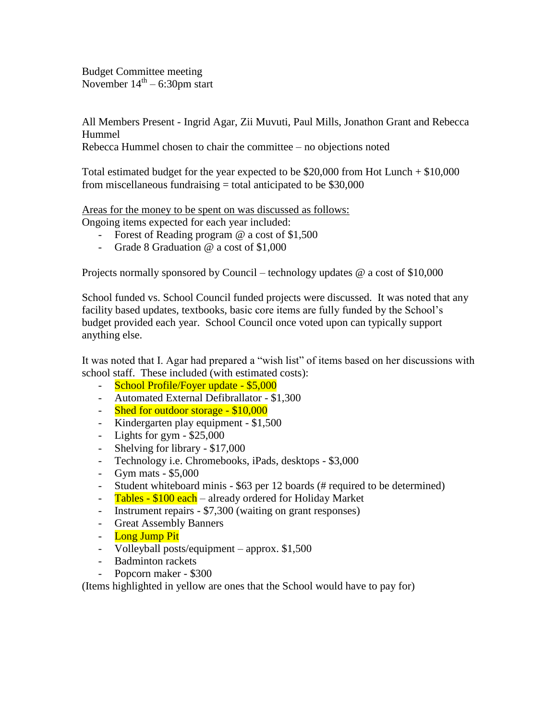Budget Committee meeting November  $14<sup>th</sup> - 6:30$ pm start

All Members Present - Ingrid Agar, Zii Muvuti, Paul Mills, Jonathon Grant and Rebecca Hummel

Rebecca Hummel chosen to chair the committee – no objections noted

Total estimated budget for the year expected to be \$20,000 from Hot Lunch + \$10,000 from miscellaneous fundraising  $=$  total anticipated to be \$30,000

Areas for the money to be spent on was discussed as follows: Ongoing items expected for each year included:

- Forest of Reading program @ a cost of \$1,500
	- Grade 8 Graduation @ a cost of \$1,000

Projects normally sponsored by Council – technology updates @ a cost of \$10,000

School funded vs. School Council funded projects were discussed. It was noted that any facility based updates, textbooks, basic core items are fully funded by the School's budget provided each year. School Council once voted upon can typically support anything else.

It was noted that I. Agar had prepared a "wish list" of items based on her discussions with school staff. These included (with estimated costs):

- School Profile/Foyer update \$5,000
- Automated External Defibrallator \$1,300
- Shed for outdoor storage \$10,000
- Kindergarten play equipment \$1,500
- Lights for gym \$25,000
- Shelving for library \$17,000
- Technology i.e. Chromebooks, iPads, desktops \$3,000
- Gym mats \$5,000
- Student whiteboard minis \$63 per 12 boards (# required to be determined)
- Tables \$100 each already ordered for Holiday Market
- Instrument repairs \$7,300 (waiting on grant responses)
- Great Assembly Banners
- Long Jump Pit
- Volleyball posts/equipment approx. \$1,500
- Badminton rackets
- Popcorn maker \$300

(Items highlighted in yellow are ones that the School would have to pay for)